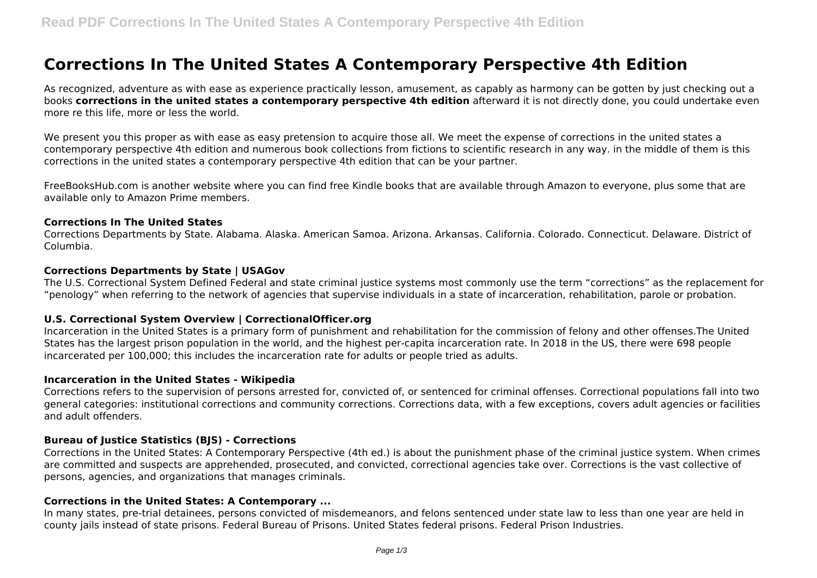# **Corrections In The United States A Contemporary Perspective 4th Edition**

As recognized, adventure as with ease as experience practically lesson, amusement, as capably as harmony can be gotten by just checking out a books **corrections in the united states a contemporary perspective 4th edition** afterward it is not directly done, you could undertake even more re this life, more or less the world.

We present you this proper as with ease as easy pretension to acquire those all. We meet the expense of corrections in the united states a contemporary perspective 4th edition and numerous book collections from fictions to scientific research in any way. in the middle of them is this corrections in the united states a contemporary perspective 4th edition that can be your partner.

FreeBooksHub.com is another website where you can find free Kindle books that are available through Amazon to everyone, plus some that are available only to Amazon Prime members.

#### **Corrections In The United States**

Corrections Departments by State. Alabama. Alaska. American Samoa. Arizona. Arkansas. California. Colorado. Connecticut. Delaware. District of Columbia.

#### **Corrections Departments by State | USAGov**

The U.S. Correctional System Defined Federal and state criminal justice systems most commonly use the term "corrections" as the replacement for "penology" when referring to the network of agencies that supervise individuals in a state of incarceration, rehabilitation, parole or probation.

#### **U.S. Correctional System Overview | CorrectionalOfficer.org**

Incarceration in the United States is a primary form of punishment and rehabilitation for the commission of felony and other offenses.The United States has the largest prison population in the world, and the highest per-capita incarceration rate. In 2018 in the US, there were 698 people incarcerated per 100,000; this includes the incarceration rate for adults or people tried as adults.

#### **Incarceration in the United States - Wikipedia**

Corrections refers to the supervision of persons arrested for, convicted of, or sentenced for criminal offenses. Correctional populations fall into two general categories: institutional corrections and community corrections. Corrections data, with a few exceptions, covers adult agencies or facilities and adult offenders.

#### **Bureau of Justice Statistics (BJS) - Corrections**

Corrections in the United States: A Contemporary Perspective (4th ed.) is about the punishment phase of the criminal justice system. When crimes are committed and suspects are apprehended, prosecuted, and convicted, correctional agencies take over. Corrections is the vast collective of persons, agencies, and organizations that manages criminals.

#### **Corrections in the United States: A Contemporary ...**

In many states, pre-trial detainees, persons convicted of misdemeanors, and felons sentenced under state law to less than one year are held in county jails instead of state prisons. Federal Bureau of Prisons. United States federal prisons. Federal Prison Industries.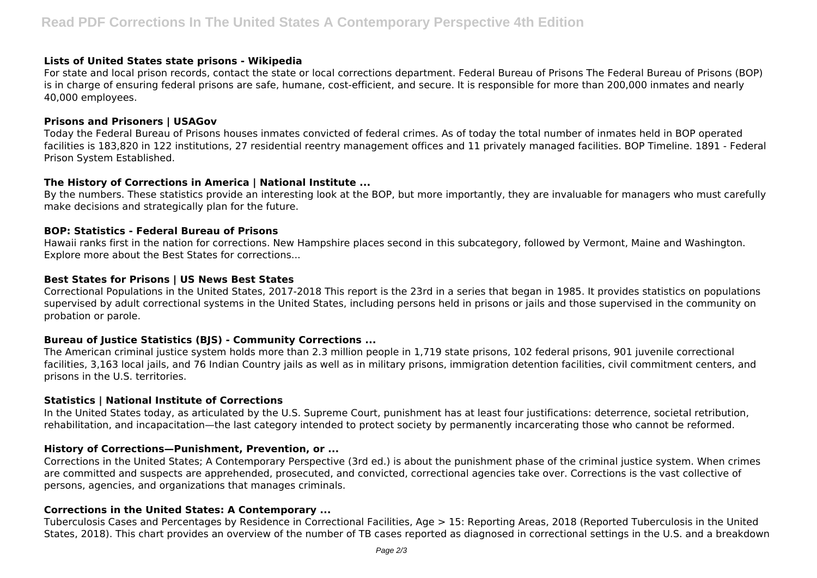#### **Lists of United States state prisons - Wikipedia**

For state and local prison records, contact the state or local corrections department. Federal Bureau of Prisons The Federal Bureau of Prisons (BOP) is in charge of ensuring federal prisons are safe, humane, cost-efficient, and secure. It is responsible for more than 200,000 inmates and nearly 40,000 employees.

#### **Prisons and Prisoners | USAGov**

Today the Federal Bureau of Prisons houses inmates convicted of federal crimes. As of today the total number of inmates held in BOP operated facilities is 183,820 in 122 institutions, 27 residential reentry management offices and 11 privately managed facilities. BOP Timeline. 1891 - Federal Prison System Established.

## **The History of Corrections in America | National Institute ...**

By the numbers. These statistics provide an interesting look at the BOP, but more importantly, they are invaluable for managers who must carefully make decisions and strategically plan for the future.

#### **BOP: Statistics - Federal Bureau of Prisons**

Hawaii ranks first in the nation for corrections. New Hampshire places second in this subcategory, followed by Vermont, Maine and Washington. Explore more about the Best States for corrections...

#### **Best States for Prisons | US News Best States**

Correctional Populations in the United States, 2017-2018 This report is the 23rd in a series that began in 1985. It provides statistics on populations supervised by adult correctional systems in the United States, including persons held in prisons or jails and those supervised in the community on probation or parole.

## **Bureau of Justice Statistics (BJS) - Community Corrections ...**

The American criminal justice system holds more than 2.3 million people in 1,719 state prisons, 102 federal prisons, 901 juvenile correctional facilities, 3,163 local jails, and 76 Indian Country jails as well as in military prisons, immigration detention facilities, civil commitment centers, and prisons in the U.S. territories.

## **Statistics | National Institute of Corrections**

In the United States today, as articulated by the U.S. Supreme Court, punishment has at least four justifications: deterrence, societal retribution, rehabilitation, and incapacitation—the last category intended to protect society by permanently incarcerating those who cannot be reformed.

## **History of Corrections—Punishment, Prevention, or ...**

Corrections in the United States; A Contemporary Perspective (3rd ed.) is about the punishment phase of the criminal justice system. When crimes are committed and suspects are apprehended, prosecuted, and convicted, correctional agencies take over. Corrections is the vast collective of persons, agencies, and organizations that manages criminals.

## **Corrections in the United States: A Contemporary ...**

Tuberculosis Cases and Percentages by Residence in Correctional Facilities, Age > 15: Reporting Areas, 2018 (Reported Tuberculosis in the United States, 2018). This chart provides an overview of the number of TB cases reported as diagnosed in correctional settings in the U.S. and a breakdown